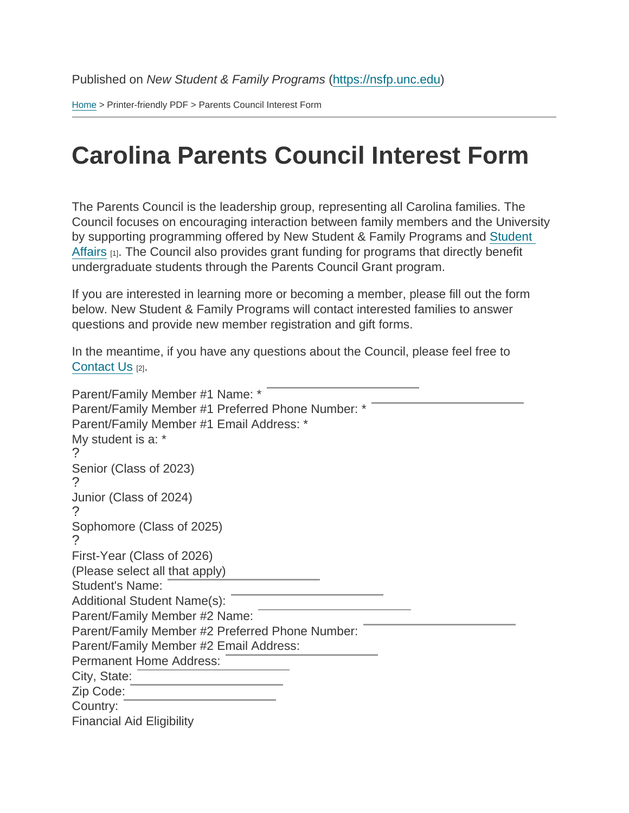[Home](https://nsfp.unc.edu/) > Printer-friendly PDF > Parents Council Interest Form

## Carolina Parents Council Interest Form

The Parents Council is the leadership group, representing all Carolina families. The Council focuses on encouraging interaction between family members and the University by supporting programming offered by New Student & Family Programs and [Student](https://studentaffairs.unc.edu/)  [Affairs](https://studentaffairs.unc.edu/) [1]. The Council also provides grant funding for programs that directly benefit undergraduate students through the Parents Council Grant program.

If you are interested in learning more or becoming a member, please fill out the form below. New Student & Family Programs will contact interested families to answer questions and provide new member registration and gift forms.

In the meantime, if you have any questions about the Council, please feel free to [Contact Us](https://nsfp.unc.edu/about-us/contact-us) [2].

Parent/Family Member #1 Name: \* Parent/Family Member #1 Preferred Phone Number: \* Parent/Family Member #1 Email Address: \* My student is a: \* ? Senior (Class of 2023) ? Junior (Class of 2024) ? Sophomore (Class of 2025) ? First-Year (Class of 2026) (Please select all that apply) Student's Name: Additional Student Name(s): Parent/Family Member #2 Name: Parent/Family Member #2 Preferred Phone Number: Parent/Family Member #2 Email Address: Permanent Home Address: City, State: Zip Code: Country: Financial Aid Eligibility